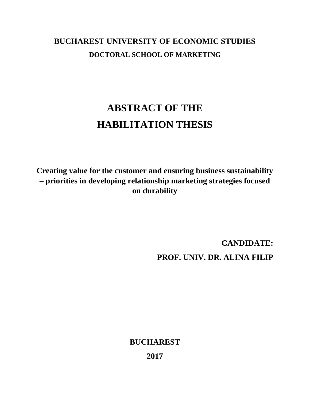## **BUCHAREST UNIVERSITY OF ECONOMIC STUDIES DOCTORAL SCHOOL OF MARKETING**

## **ABSTRACT OF THE HABILITATION THESIS**

**Creating value for the customer and ensuring business sustainability – priorities in developing relationship marketing strategies focused on durability**

> **CANDIDATE: PROF. UNIV. DR. ALINA FILIP**

**BUCHAREST**

**2017**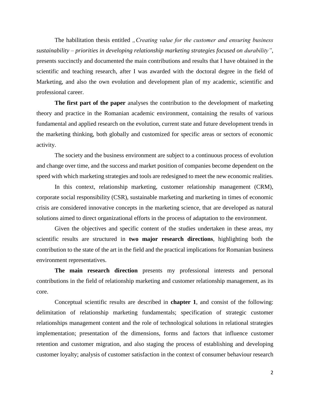The habilitation thesis entitled *"Creating value for the customer and ensuring business sustainability – priorities in developing relationship marketing strategies focused on durability"*, presents succinctly and documented the main contributions and results that I have obtained in the scientific and teaching research, after I was awarded with the doctoral degree in the field of Marketing, and also the own evolution and development plan of my academic, scientific and professional career.

**The first part of the paper** analyses the contribution to the development of marketing theory and practice in the Romanian academic environment, containing the results of various fundamental and applied research on the evolution, current state and future development trends in the marketing thinking, both globally and customized for specific areas or sectors of economic activity.

The society and the business environment are subject to a continuous process of evolution and change over time, and the success and market position of companies become dependent on the speed with which marketing strategies and tools are redesigned to meet the new economic realities.

In this context, relationship marketing, customer relationship management (CRM), corporate social responsibility (CSR), sustainable marketing and marketing in times of economic crisis are considered innovative concepts in the marketing science, that are developed as natural solutions aimed to direct organizational efforts in the process of adaptation to the environment.

Given the objectives and specific content of the studies undertaken in these areas, my scientific results are structured in **two major research directions**, highlighting both the contribution to the state of the art in the field and the practical implications for Romanian business environment representatives.

**The main research direction** presents my professional interests and personal contributions in the field of relationship marketing and customer relationship management, as its core.

Conceptual scientific results are described in **chapter 1**, and consist of the following: delimitation of relationship marketing fundamentals; specification of strategic customer relationships management content and the role of technological solutions in relational strategies implementation; presentation of the dimensions, forms and factors that influence customer retention and customer migration, and also staging the process of establishing and developing customer loyalty; analysis of customer satisfaction in the context of consumer behaviour research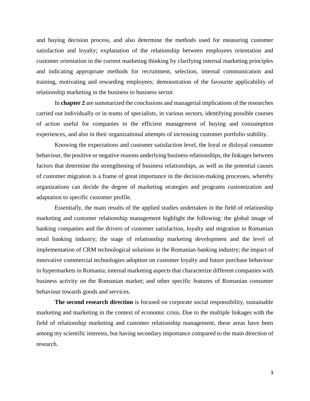and buying decision process, and also determine the methods used for measuring customer satisfaction and loyalty; explanation of the relationship between employees orientation and customer orientation in the current marketing thinking by clarifying internal marketing principles and indicating appropriate methods for recruitment, selection, internal communication and training, motivating and rewarding employees; demonstration of the favourite applicability of relationship marketing in the business to business sector.

In **chapter 2** are summarized the conclusions and managerial implications of the researches carried out individually or in teams of specialists, in various sectors, identifying possible courses of action useful for companies in the efficient management of buying and consumption experiences, and also in their organizational attempts of increasing customer portfolio stability.

Knowing the expectations and customer satisfaction level, the loyal or disloyal consumer behaviour, the positive or negative reasons underlying business relationships, the linkages between factors that determine the strengthening of business relationships, as well as the potential causes of customer migration is a frame of great importance in the decision-making processes, whereby organizations can decide the degree of marketing strategies and programs customization and adaptation to specific customer profile.

Essentially, the main results of the applied studies undertaken in the field of relationship marketing and customer relationship management highlight the following: the global image of banking companies and the drivers of customer satisfaction, loyalty and migration in Romanian retail banking industry; the stage of relationship marketing development and the level of implementation of CRM technological solutions in the Romanian banking industry; the impact of innovative commercial technologies adoption on customer loyalty and future purchase behaviour in hypermarkets in Romania; internal marketing aspects that characterize different companies with business activity on the Romanian market; and other specific features of Romanian consumer behaviour towards goods and services.

**The second research direction** is focused on corporate social responsibility, sustainable marketing and marketing in the context of economic crisis. Due to the multiple linkages with the field of relationship marketing and customer relationship management, these areas have been among my scientific interests, but having secondary importance compared to the main direction of research.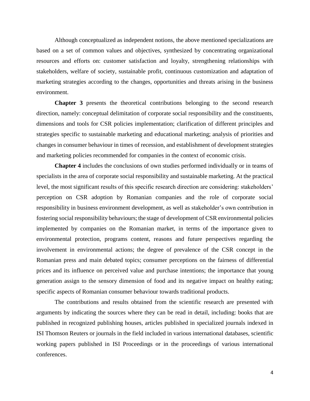Although conceptualized as independent notions, the above mentioned specializations are based on a set of common values and objectives, synthesized by concentrating organizational resources and efforts on: customer satisfaction and loyalty, strengthening relationships with stakeholders, welfare of society, sustainable profit, continuous customization and adaptation of marketing strategies according to the changes, opportunities and threats arising in the business environment.

**Chapter 3** presents the theoretical contributions belonging to the second research direction, namely: conceptual delimitation of corporate social responsibility and the constituents, dimensions and tools for CSR policies implementation; clarification of different principles and strategies specific to sustainable marketing and educational marketing; analysis of priorities and changes in consumer behaviour in times of recession, and establishment of development strategies and marketing policies recommended for companies in the context of economic crisis.

**Chapter 4** includes the conclusions of own studies performed individually or in teams of specialists in the area of corporate social responsibility and sustainable marketing. At the practical level, the most significant results of this specific research direction are considering: stakeholders' perception on CSR adoption by Romanian companies and the role of corporate social responsibility in business environment development, as well as stakeholder's own contribution in fostering social responsibility behaviours; the stage of development of CSR environmental policies implemented by companies on the Romanian market, in terms of the importance given to environmental protection, programs content, reasons and future perspectives regarding the involvement in environmental actions; the degree of prevalence of the CSR concept in the Romanian press and main debated topics; consumer perceptions on the fairness of differential prices and its influence on perceived value and purchase intentions; the importance that young generation assign to the sensory dimension of food and its negative impact on healthy eating; specific aspects of Romanian consumer behaviour towards traditional products.

The contributions and results obtained from the scientific research are presented with arguments by indicating the sources where they can be read in detail, including: books that are published in recognized publishing houses, articles published in specialized journals indexed in ISI Thomson Reuters or journals in the field included in various international databases, scientific working papers published in ISI Proceedings or in the proceedings of various international conferences.